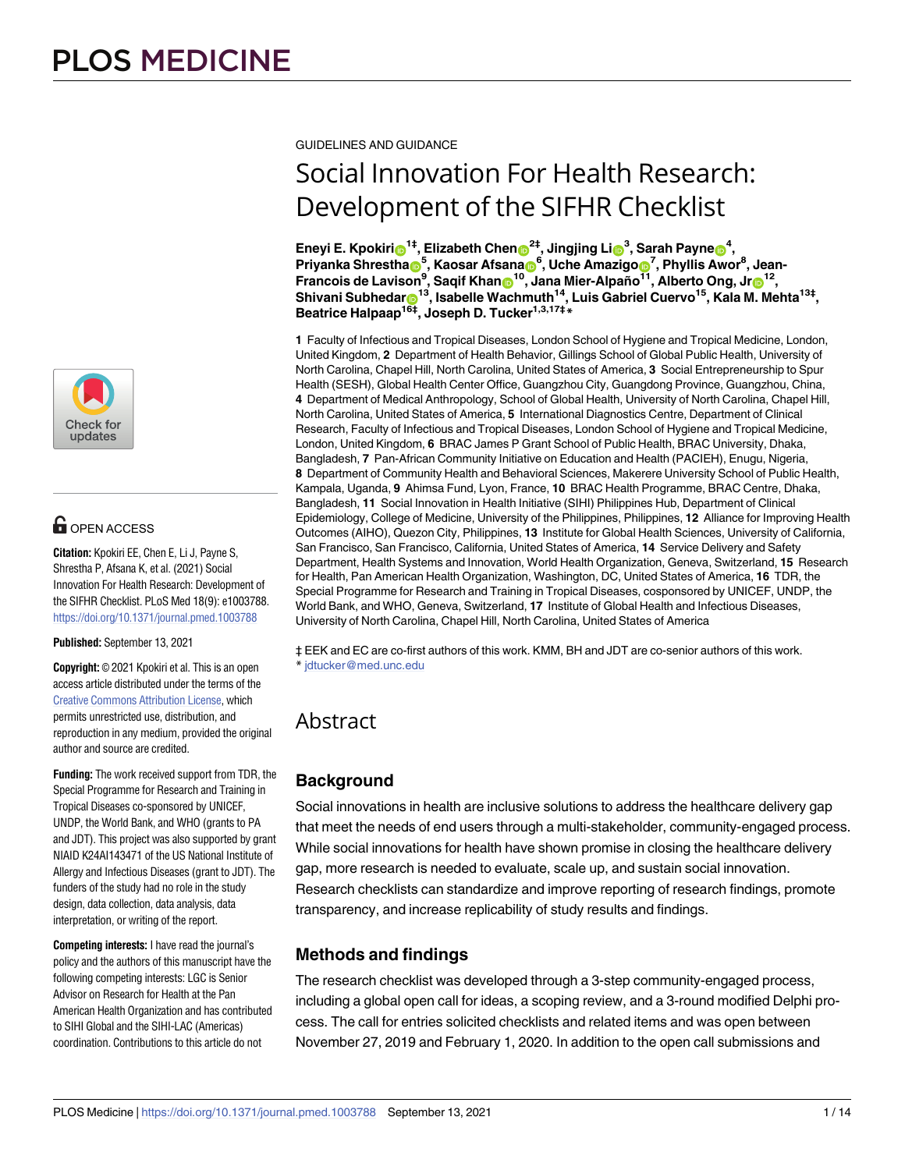

# $\blacksquare$  OPEN ACCESS

**Citation:** Kpokiri EE, Chen E, Li J, Payne S, Shrestha P, Afsana K, et al. (2021) Social Innovation For Health Research: Development of the SIFHR Checklist. PLoS Med 18(9): e1003788. <https://doi.org/10.1371/journal.pmed.1003788>

**Published:** September 13, 2021

**Copyright:** © 2021 Kpokiri et al. This is an open access article distributed under the terms of the Creative Commons [Attribution](http://creativecommons.org/licenses/by/4.0/) License, which permits unrestricted use, distribution, and reproduction in any medium, provided the original author and source are credited.

**Funding:** The work received support from TDR, the Special Programme for Research and Training in Tropical Diseases co-sponsored by UNICEF, UNDP, the World Bank, and WHO (grants to PA and JDT). This project was also supported by grant NIAID K24AI143471 of the US National Institute of Allergy and Infectious Diseases (grant to JDT). The funders of the study had no role in the study design, data collection, data analysis, data interpretation, or writing of the report.

**Competing interests:** I have read the journal's policy and the authors of this manuscript have the following competing interests: LGC is Senior Advisor on Research for Health at the Pan American Health Organization and has contributed to SIHI Global and the SIHI-LAC (Americas) coordination. Contributions to this article do not

GUIDELINES AND GUIDANCE

# Social Innovation For Health Research: Development of the SIFHR Checklist

 $\mathbf{E}$ neyi E. Kpokiri $\mathbf{D}^{1\ddagger}$ , Elizabeth Chen $\mathbf{D}^{2\ddagger}$ , Jingjing Li $\mathbf{D}^{3}$ , Sarah Payne $\mathbf{D}^{4}$ ,  $\mathsf{Priyanka Shrestha}$ , Kaosar Afsana $\mathsf{B}^6$ , Uche Amazigo $\mathsf{D}^7$ , Phyllis Awor<sup>8</sup>, Jean-**Francois de Lavison9 , Saqif Khan[ID1](https://orcid.org/0000-0002-5910-503X)0, Jana Mier-Alpaño11, Alberto Ong, Jr[ID1](https://orcid.org/0000-0002-4864-2817)2,**  ${\sf Shivani}$   ${\sf Subhedar}_{\bf 0}^{-13}, {\sf Isabelle}$   ${\sf Wachmuth}^{14}, {\sf Luis}$   ${\sf Gabriel}$   ${\sf Cuervo}^{15},$   ${\sf Kala}$   ${\sf M.}$   ${\sf Mehta}^{13\ddagger},$ **Beatrice Halpaap16‡, Joseph D. Tucker1,3,17‡\***

**1** Faculty of Infectious and Tropical Diseases, London School of Hygiene and Tropical Medicine, London, United Kingdom, **2** Department of Health Behavior, Gillings School of Global Public Health, University of North Carolina, Chapel Hill, North Carolina, United States of America, **3** Social Entrepreneurship to Spur Health (SESH), Global Health Center Office, Guangzhou City, Guangdong Province, Guangzhou, China, **4** Department of Medical Anthropology, School of Global Health, University of North Carolina, Chapel Hill, North Carolina, United States of America, **5** International Diagnostics Centre, Department of Clinical Research, Faculty of Infectious and Tropical Diseases, London School of Hygiene and Tropical Medicine, London, United Kingdom, **6** BRAC James P Grant School of Public Health, BRAC University, Dhaka, Bangladesh, **7** Pan-African Community Initiative on Education and Health (PACIEH), Enugu, Nigeria, **8** Department of Community Health and Behavioral Sciences, Makerere University School of Public Health, Kampala, Uganda, **9** Ahimsa Fund, Lyon, France, **10** BRAC Health Programme, BRAC Centre, Dhaka, Bangladesh, **11** Social Innovation in Health Initiative (SIHI) Philippines Hub, Department of Clinical Epidemiology, College of Medicine, University of the Philippines, Philippines, **12** Alliance for Improving Health Outcomes (AIHO), Quezon City, Philippines, **13** Institute for Global Health Sciences, University of California, San Francisco, San Francisco, California, United States of America, **14** Service Delivery and Safety Department, Health Systems and Innovation, World Health Organization, Geneva, Switzerland, **15** Research for Health, Pan American Health Organization, Washington, DC, United States of America, **16** TDR, the Special Programme for Research and Training in Tropical Diseases, cosponsored by UNICEF, UNDP, the World Bank, and WHO, Geneva, Switzerland, **17** Institute of Global Health and Infectious Diseases, University of North Carolina, Chapel Hill, North Carolina, United States of America

‡ EEK and EC are co-first authors of this work. KMM, BH and JDT are co-senior authors of this work. \* jdtucker@med.unc.edu

# Abstract

# **Background**

Social innovations in health are inclusive solutions to address the healthcare delivery gap that meet the needs of end users through a multi-stakeholder, community-engaged process. While social innovations for health have shown promise in closing the healthcare delivery gap, more research is needed to evaluate, scale up, and sustain social innovation. Research checklists can standardize and improve reporting of research findings, promote transparency, and increase replicability of study results and findings.

# **Methods and findings**

The research checklist was developed through a 3-step community-engaged process, including a global open call for ideas, a scoping review, and a 3-round modified Delphi process. The call for entries solicited checklists and related items and was open between November 27, 2019 and February 1, 2020. In addition to the open call submissions and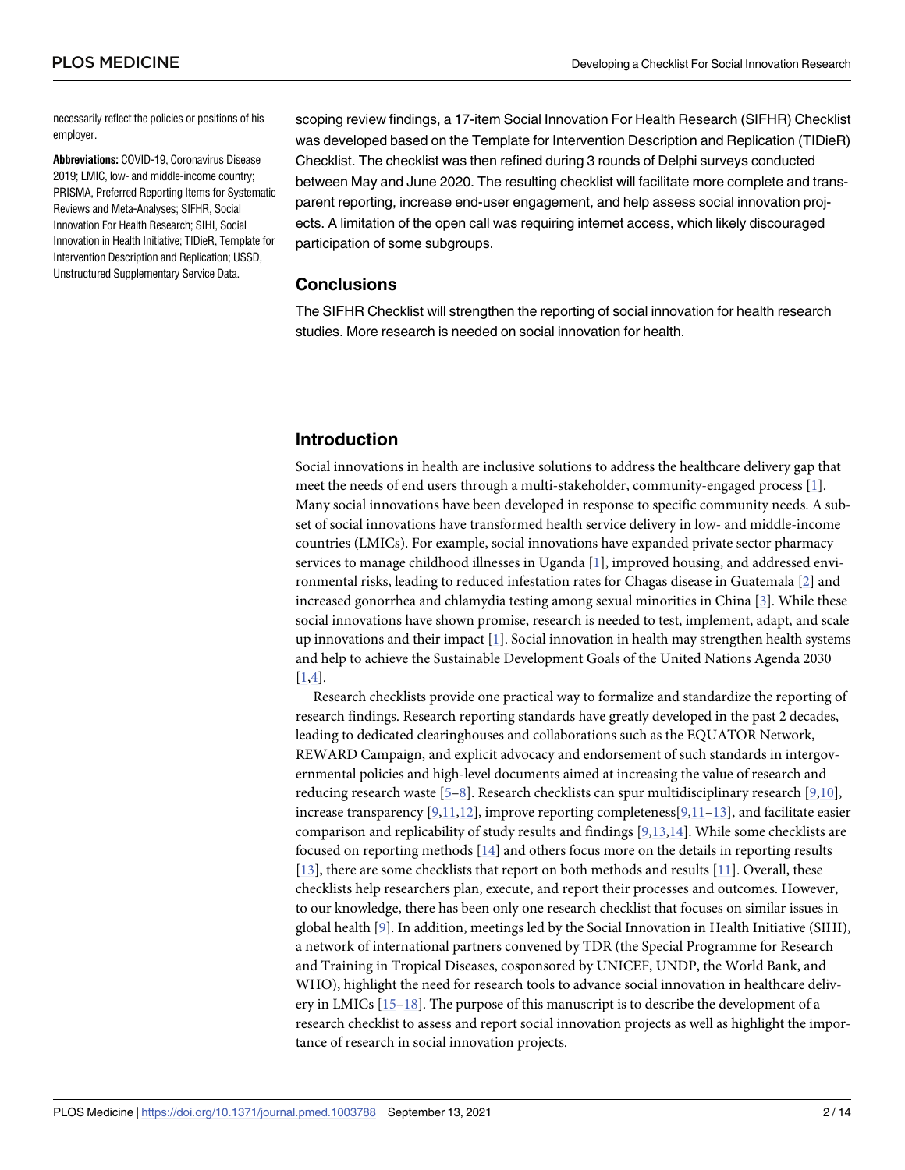<span id="page-1-0"></span>necessarily reflect the policies or positions of his employer.

**Abbreviations:** COVID-19, Coronavirus Disease 2019; LMIC, low- and middle-income country; PRISMA, Preferred Reporting Items for Systematic Reviews and Meta-Analyses; SIFHR, Social Innovation For Health Research; SIHI, Social Innovation in Health Initiative; TIDieR, Template for Intervention Description and Replication; USSD, Unstructured Supplementary Service Data.

scoping review findings, a 17-item Social Innovation For Health Research (SIFHR) Checklist was developed based on the Template for Intervention Description and Replication (TIDieR) Checklist. The checklist was then refined during 3 rounds of Delphi surveys conducted between May and June 2020. The resulting checklist will facilitate more complete and transparent reporting, increase end-user engagement, and help assess social innovation projects. A limitation of the open call was requiring internet access, which likely discouraged participation of some subgroups.

#### **Conclusions**

The SIFHR Checklist will strengthen the reporting of social innovation for health research studies. More research is needed on social innovation for health.

# **Introduction**

Social innovations in health are inclusive solutions to address the healthcare delivery gap that meet the needs of end users through a multi-stakeholder, community-engaged process [[1\]](#page-11-0). Many social innovations have been developed in response to specific community needs. A subset of social innovations have transformed health service delivery in low- and middle-income countries (LMICs). For example, social innovations have expanded private sector pharmacy services to manage childhood illnesses in Uganda [[1](#page-11-0)], improved housing, and addressed environmental risks, leading to reduced infestation rates for Chagas disease in Guatemala [\[2](#page-11-0)] and increased gonorrhea and chlamydia testing among sexual minorities in China [\[3\]](#page-11-0). While these social innovations have shown promise, research is needed to test, implement, adapt, and scale up innovations and their impact  $[1]$  $[1]$ . Social innovation in health may strengthen health systems and help to achieve the Sustainable Development Goals of the United Nations Agenda 2030 [\[1](#page-11-0)[,4](#page-12-0)].

Research checklists provide one practical way to formalize and standardize the reporting of research findings. Research reporting standards have greatly developed in the past 2 decades, leading to dedicated clearinghouses and collaborations such as the EQUATOR Network, REWARD Campaign, and explicit advocacy and endorsement of such standards in intergovernmental policies and high-level documents aimed at increasing the value of research and reducing research waste [[5–8\]](#page-12-0). Research checklists can spur multidisciplinary research [[9,10](#page-12-0)], increase transparency  $[9,11,12]$  $[9,11,12]$ , improve reporting completeness $[9,11-13]$  $[9,11-13]$  $[9,11-13]$  $[9,11-13]$ , and facilitate easier comparison and replicability of study results and findings [\[9,13,14\]](#page-12-0). While some checklists are focused on reporting methods [[14](#page-12-0)] and others focus more on the details in reporting results [\[13\]](#page-12-0), there are some checklists that report on both methods and results [[11](#page-12-0)]. Overall, these checklists help researchers plan, execute, and report their processes and outcomes. However, to our knowledge, there has been only one research checklist that focuses on similar issues in global health [\[9](#page-12-0)]. In addition, meetings led by the Social Innovation in Health Initiative (SIHI), a network of international partners convened by TDR (the Special Programme for Research and Training in Tropical Diseases, cosponsored by UNICEF, UNDP, the World Bank, and WHO), highlight the need for research tools to advance social innovation in healthcare delivery in LMICs [[15–18\]](#page-12-0). The purpose of this manuscript is to describe the development of a research checklist to assess and report social innovation projects as well as highlight the importance of research in social innovation projects.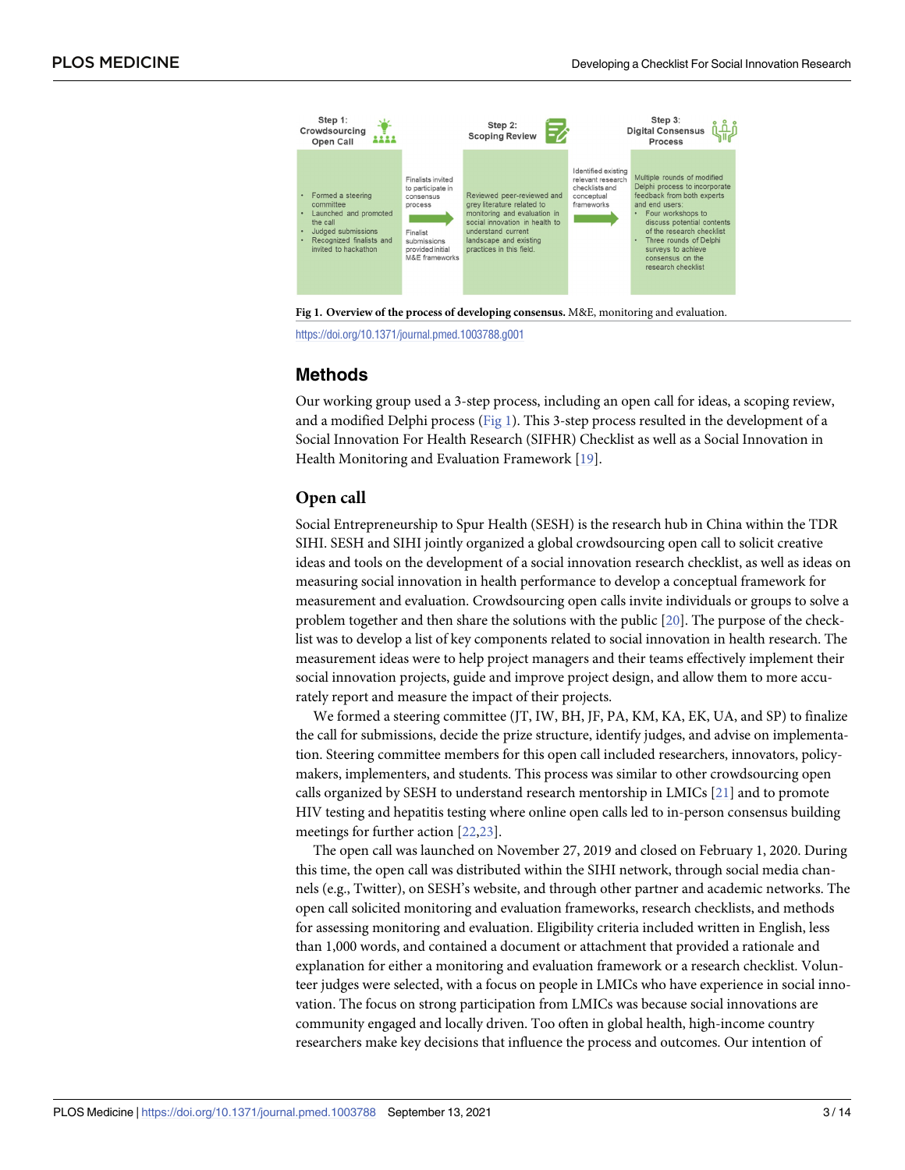<span id="page-2-0"></span>



# **Methods**

Our working group used a 3-step process, including an open call for ideas, a scoping review, and a modified Delphi process (Fig 1). This 3-step process resulted in the development of a Social Innovation For Health Research (SIFHR) Checklist as well as a Social Innovation in Health Monitoring and Evaluation Framework [\[19\]](#page-12-0).

# **Open call**

Social Entrepreneurship to Spur Health (SESH) is the research hub in China within the TDR SIHI. SESH and SIHI jointly organized a global crowdsourcing open call to solicit creative ideas and tools on the development of a social innovation research checklist, as well as ideas on measuring social innovation in health performance to develop a conceptual framework for measurement and evaluation. Crowdsourcing open calls invite individuals or groups to solve a problem together and then share the solutions with the public [[20](#page-12-0)]. The purpose of the checklist was to develop a list of key components related to social innovation in health research. The measurement ideas were to help project managers and their teams effectively implement their social innovation projects, guide and improve project design, and allow them to more accurately report and measure the impact of their projects.

We formed a steering committee (JT, IW, BH, JF, PA, KM, KA, EK, UA, and SP) to finalize the call for submissions, decide the prize structure, identify judges, and advise on implementation. Steering committee members for this open call included researchers, innovators, policymakers, implementers, and students. This process was similar to other crowdsourcing open calls organized by SESH to understand research mentorship in LMICs [\[21\]](#page-12-0) and to promote HIV testing and hepatitis testing where online open calls led to in-person consensus building meetings for further action [[22](#page-12-0),[23](#page-12-0)].

The open call was launched on November 27, 2019 and closed on February 1, 2020. During this time, the open call was distributed within the SIHI network, through social media channels (e.g., Twitter), on SESH's website, and through other partner and academic networks. The open call solicited monitoring and evaluation frameworks, research checklists, and methods for assessing monitoring and evaluation. Eligibility criteria included written in English, less than 1,000 words, and contained a document or attachment that provided a rationale and explanation for either a monitoring and evaluation framework or a research checklist. Volunteer judges were selected, with a focus on people in LMICs who have experience in social innovation. The focus on strong participation from LMICs was because social innovations are community engaged and locally driven. Too often in global health, high-income country researchers make key decisions that influence the process and outcomes. Our intention of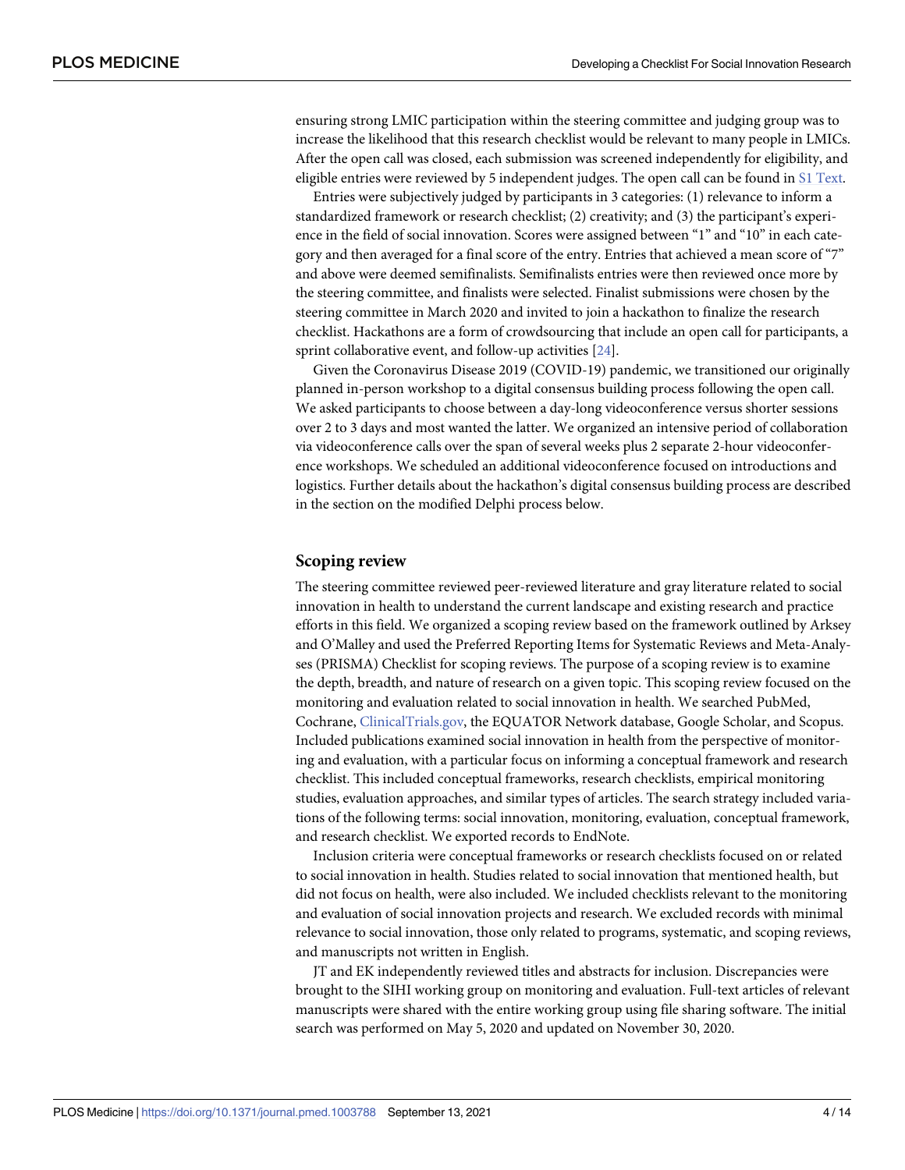<span id="page-3-0"></span>ensuring strong LMIC participation within the steering committee and judging group was to increase the likelihood that this research checklist would be relevant to many people in LMICs. After the open call was closed, each submission was screened independently for eligibility, and eligible entries were reviewed by 5 independent judges. The open call can be found in S1 [Text](#page-11-0).

Entries were subjectively judged by participants in 3 categories: (1) relevance to inform a standardized framework or research checklist; (2) creativity; and (3) the participant's experience in the field of social innovation. Scores were assigned between "1" and "10" in each category and then averaged for a final score of the entry. Entries that achieved a mean score of "7" and above were deemed semifinalists. Semifinalists entries were then reviewed once more by the steering committee, and finalists were selected. Finalist submissions were chosen by the steering committee in March 2020 and invited to join a hackathon to finalize the research checklist. Hackathons are a form of crowdsourcing that include an open call for participants, a sprint collaborative event, and follow-up activities [[24](#page-12-0)].

Given the Coronavirus Disease 2019 (COVID-19) pandemic, we transitioned our originally planned in-person workshop to a digital consensus building process following the open call. We asked participants to choose between a day-long videoconference versus shorter sessions over 2 to 3 days and most wanted the latter. We organized an intensive period of collaboration via videoconference calls over the span of several weeks plus 2 separate 2-hour videoconference workshops. We scheduled an additional videoconference focused on introductions and logistics. Further details about the hackathon's digital consensus building process are described in the section on the modified Delphi process below.

#### **Scoping review**

The steering committee reviewed peer-reviewed literature and gray literature related to social innovation in health to understand the current landscape and existing research and practice efforts in this field. We organized a scoping review based on the framework outlined by Arksey and O'Malley and used the Preferred Reporting Items for Systematic Reviews and Meta-Analyses (PRISMA) Checklist for scoping reviews. The purpose of a scoping review is to examine the depth, breadth, and nature of research on a given topic. This scoping review focused on the monitoring and evaluation related to social innovation in health. We searched PubMed, Cochrane, [ClinicalTrials.gov,](http://clinicaltrials.gov/) the EQUATOR Network database, Google Scholar, and Scopus. Included publications examined social innovation in health from the perspective of monitoring and evaluation, with a particular focus on informing a conceptual framework and research checklist. This included conceptual frameworks, research checklists, empirical monitoring studies, evaluation approaches, and similar types of articles. The search strategy included variations of the following terms: social innovation, monitoring, evaluation, conceptual framework, and research checklist. We exported records to EndNote.

Inclusion criteria were conceptual frameworks or research checklists focused on or related to social innovation in health. Studies related to social innovation that mentioned health, but did not focus on health, were also included. We included checklists relevant to the monitoring and evaluation of social innovation projects and research. We excluded records with minimal relevance to social innovation, those only related to programs, systematic, and scoping reviews, and manuscripts not written in English.

JT and EK independently reviewed titles and abstracts for inclusion. Discrepancies were brought to the SIHI working group on monitoring and evaluation. Full-text articles of relevant manuscripts were shared with the entire working group using file sharing software. The initial search was performed on May 5, 2020 and updated on November 30, 2020.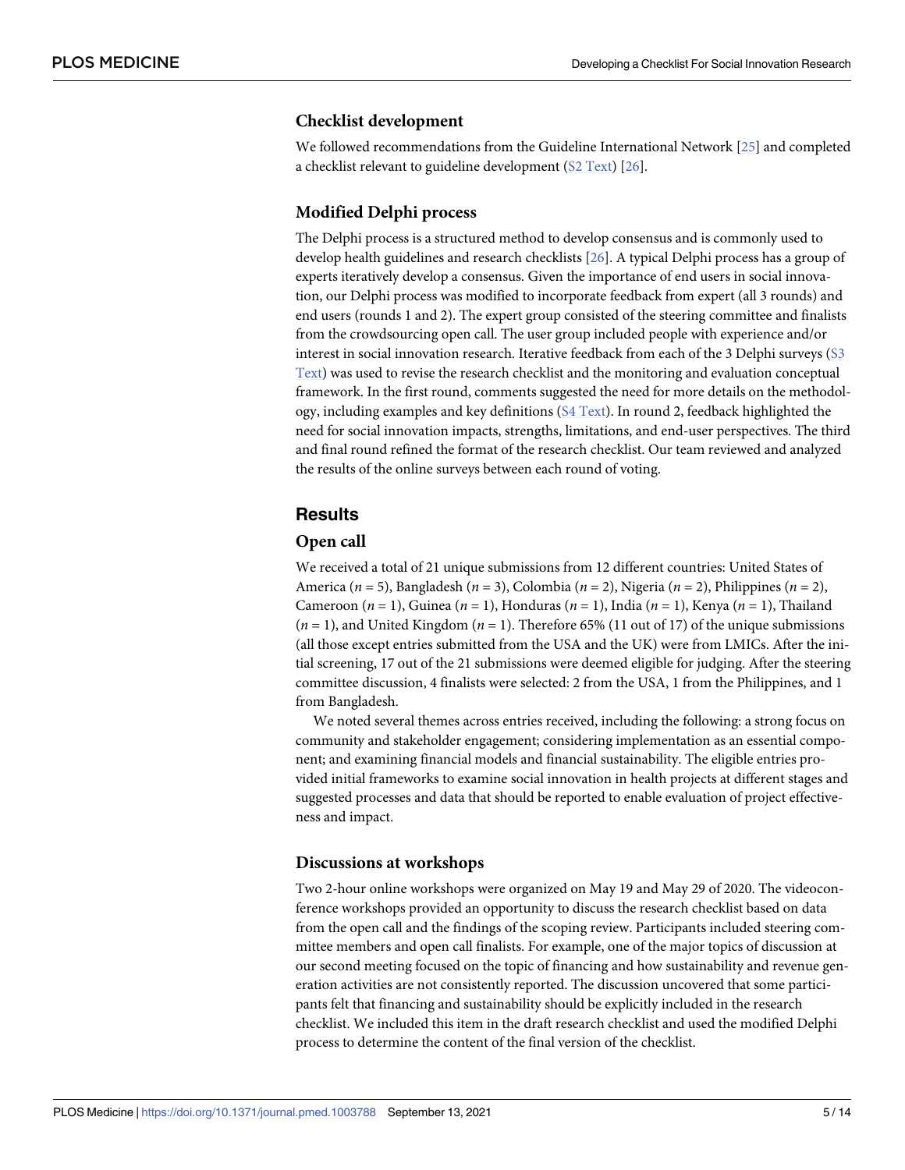#### <span id="page-4-0"></span>**Checklist development**

We followed recommendations from the Guideline International Network [[25](#page-12-0)] and completed a checklist relevant to guideline development (S2 [Text](#page-11-0)) [\[26\]](#page-12-0).

#### **Modified Delphi process**

The Delphi process is a structured method to develop consensus and is commonly used to develop health guidelines and research checklists [[26](#page-12-0)]. A typical Delphi process has a group of experts iteratively develop a consensus. Given the importance of end users in social innovation, our Delphi process was modified to incorporate feedback from expert (all 3 rounds) and end users (rounds 1 and 2). The expert group consisted of the steering committee and finalists from the crowdsourcing open call. The user group included people with experience and/or interest in social innovation research. Iterative feedback from each of the 3 Delphi surveys [\(S3](#page-11-0) [Text\)](#page-11-0) was used to revise the research checklist and the monitoring and evaluation conceptual framework. In the first round, comments suggested the need for more details on the methodology, including examples and key definitions (S4 [Text\)](#page-11-0). In round 2, feedback highlighted the need for social innovation impacts, strengths, limitations, and end-user perspectives. The third and final round refined the format of the research checklist. Our team reviewed and analyzed the results of the online surveys between each round of voting.

# **Results**

#### **Open call**

We received a total of 21 unique submissions from 12 different countries: United States of America (*n* = 5), Bangladesh (*n* = 3), Colombia (*n* = 2), Nigeria (*n* = 2), Philippines (*n* = 2), Cameroon (*n* = 1), Guinea (*n* = 1), Honduras (*n* = 1), India (*n* = 1), Kenya (*n* = 1), Thailand (*n* = 1), and United Kingdom (*n* = 1). Therefore 65% (11 out of 17) of the unique submissions (all those except entries submitted from the USA and the UK) were from LMICs. After the initial screening, 17 out of the 21 submissions were deemed eligible for judging. After the steering committee discussion, 4 finalists were selected: 2 from the USA, 1 from the Philippines, and 1 from Bangladesh.

We noted several themes across entries received, including the following: a strong focus on community and stakeholder engagement; considering implementation as an essential component; and examining financial models and financial sustainability. The eligible entries provided initial frameworks to examine social innovation in health projects at different stages and suggested processes and data that should be reported to enable evaluation of project effectiveness and impact.

#### **Discussions at workshops**

Two 2-hour online workshops were organized on May 19 and May 29 of 2020. The videoconference workshops provided an opportunity to discuss the research checklist based on data from the open call and the findings of the scoping review. Participants included steering committee members and open call finalists. For example, one of the major topics of discussion at our second meeting focused on the topic of financing and how sustainability and revenue generation activities are not consistently reported. The discussion uncovered that some participants felt that financing and sustainability should be explicitly included in the research checklist. We included this item in the draft research checklist and used the modified Delphi process to determine the content of the final version of the checklist.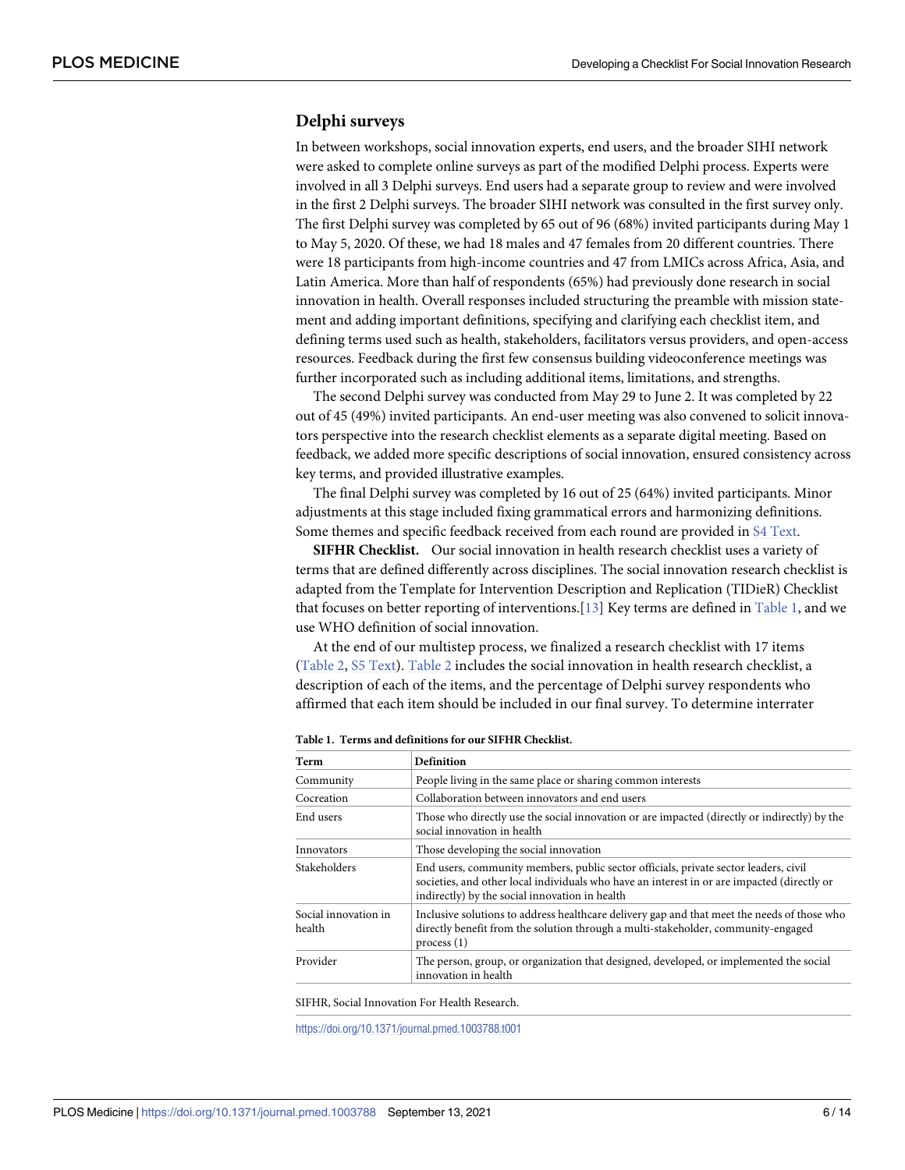#### <span id="page-5-0"></span>**Delphi surveys**

In between workshops, social innovation experts, end users, and the broader SIHI network were asked to complete online surveys as part of the modified Delphi process. Experts were involved in all 3 Delphi surveys. End users had a separate group to review and were involved in the first 2 Delphi surveys. The broader SIHI network was consulted in the first survey only. The first Delphi survey was completed by 65 out of 96 (68%) invited participants during May 1 to May 5, 2020. Of these, we had 18 males and 47 females from 20 different countries. There were 18 participants from high-income countries and 47 from LMICs across Africa, Asia, and Latin America. More than half of respondents (65%) had previously done research in social innovation in health. Overall responses included structuring the preamble with mission statement and adding important definitions, specifying and clarifying each checklist item, and defining terms used such as health, stakeholders, facilitators versus providers, and open-access resources. Feedback during the first few consensus building videoconference meetings was further incorporated such as including additional items, limitations, and strengths.

The second Delphi survey was conducted from May 29 to June 2. It was completed by 22 out of 45 (49%) invited participants. An end-user meeting was also convened to solicit innovators perspective into the research checklist elements as a separate digital meeting. Based on feedback, we added more specific descriptions of social innovation, ensured consistency across key terms, and provided illustrative examples.

The final Delphi survey was completed by 16 out of 25 (64%) invited participants. Minor adjustments at this stage included fixing grammatical errors and harmonizing definitions. Some themes and specific feedback received from each round are provided in S4 [Text](#page-11-0).

**SIFHR Checklist.** Our social innovation in health research checklist uses a variety of terms that are defined differently across disciplines. The social innovation research checklist is adapted from the Template for Intervention Description and Replication (TIDieR) Checklist that focuses on better reporting of interventions.[[13](#page-12-0)] Key terms are defined in Table 1, and we use WHO definition of social innovation.

At the end of our multistep process, we finalized a research checklist with 17 items [\(Table](#page-6-0) 2, S5 [Text\)](#page-11-0). [Table](#page-6-0) 2 includes the social innovation in health research checklist, a description of each of the items, and the percentage of Delphi survey respondents who affirmed that each item should be included in our final survey. To determine interrater

| Term                           | <b>Definition</b>                                                                                                                                                                                                                     |  |
|--------------------------------|---------------------------------------------------------------------------------------------------------------------------------------------------------------------------------------------------------------------------------------|--|
| Community                      | People living in the same place or sharing common interests                                                                                                                                                                           |  |
| Cocreation                     | Collaboration between innovators and end users                                                                                                                                                                                        |  |
| End users                      | Those who directly use the social innovation or are impacted (directly or indirectly) by the<br>social innovation in health                                                                                                           |  |
| Innovators                     | Those developing the social innovation                                                                                                                                                                                                |  |
| Stakeholders                   | End users, community members, public sector officials, private sector leaders, civil<br>societies, and other local individuals who have an interest in or are impacted (directly or<br>indirectly) by the social innovation in health |  |
| Social innovation in<br>health | Inclusive solutions to address healthcare delivery gap and that meet the needs of those who<br>directly benefit from the solution through a multi-stakeholder, community-engaged<br>process(1)                                        |  |
| Provider                       | The person, group, or organization that designed, developed, or implemented the social<br>innovation in health                                                                                                                        |  |
|                                |                                                                                                                                                                                                                                       |  |

**Table 1. Terms and definitions for our SIFHR Checklist.**

SIFHR, Social Innovation For Health Research.

<https://doi.org/10.1371/journal.pmed.1003788.t001>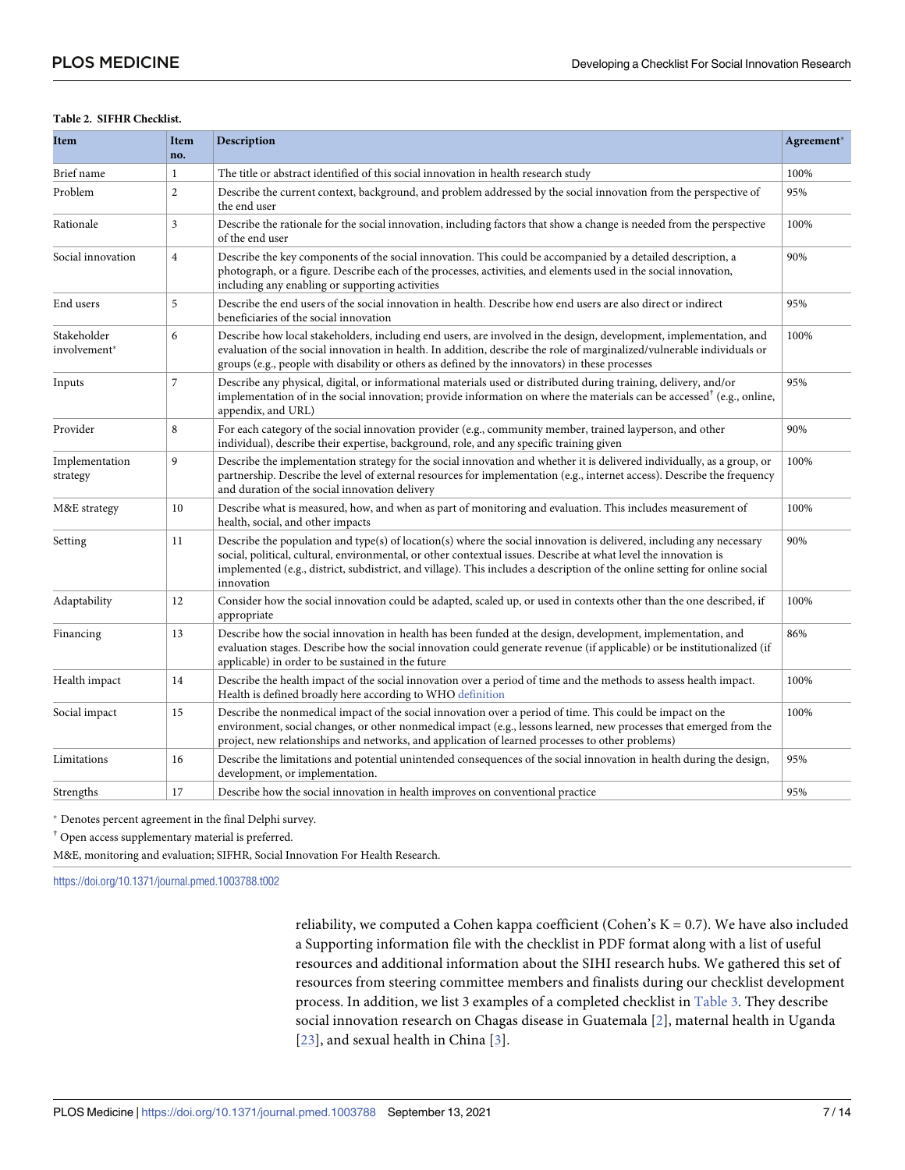#### <span id="page-6-0"></span>**[Table](#page-5-0) 2. SIFHR Checklist.**

| Item                        | Item<br>no.                                                                                                                                                                                                                                                                                                                                                                                 | Description                                                                                                                                                                                                                                                                                                                                      | Agreement* |
|-----------------------------|---------------------------------------------------------------------------------------------------------------------------------------------------------------------------------------------------------------------------------------------------------------------------------------------------------------------------------------------------------------------------------------------|--------------------------------------------------------------------------------------------------------------------------------------------------------------------------------------------------------------------------------------------------------------------------------------------------------------------------------------------------|------------|
| Brief name                  | $\mathbf{1}$                                                                                                                                                                                                                                                                                                                                                                                | The title or abstract identified of this social innovation in health research study                                                                                                                                                                                                                                                              | 100%       |
| Problem                     | $\overline{c}$                                                                                                                                                                                                                                                                                                                                                                              | Describe the current context, background, and problem addressed by the social innovation from the perspective of<br>the end user                                                                                                                                                                                                                 | 95%        |
| Rationale                   | $\overline{3}$                                                                                                                                                                                                                                                                                                                                                                              | Describe the rationale for the social innovation, including factors that show a change is needed from the perspective<br>of the end user                                                                                                                                                                                                         | 100%       |
| Social innovation           | $\overline{4}$                                                                                                                                                                                                                                                                                                                                                                              | Describe the key components of the social innovation. This could be accompanied by a detailed description, a<br>photograph, or a figure. Describe each of the processes, activities, and elements used in the social innovation,<br>including any enabling or supporting activities                                                              |            |
| End users                   | 5                                                                                                                                                                                                                                                                                                                                                                                           | Describe the end users of the social innovation in health. Describe how end users are also direct or indirect<br>beneficiaries of the social innovation                                                                                                                                                                                          |            |
| Stakeholder<br>involvement* | 6                                                                                                                                                                                                                                                                                                                                                                                           | Describe how local stakeholders, including end users, are involved in the design, development, implementation, and<br>evaluation of the social innovation in health. In addition, describe the role of marginalized/vulnerable individuals or<br>groups (e.g., people with disability or others as defined by the innovators) in these processes |            |
| Inputs                      | $\overline{7}$                                                                                                                                                                                                                                                                                                                                                                              | Describe any physical, digital, or informational materials used or distributed during training, delivery, and/or<br>implementation of in the social innovation; provide information on where the materials can be accessed <sup>†</sup> (e.g., online,<br>appendix, and URL)                                                                     |            |
| Provider                    | 8                                                                                                                                                                                                                                                                                                                                                                                           | For each category of the social innovation provider (e.g., community member, trained layperson, and other<br>individual), describe their expertise, background, role, and any specific training given                                                                                                                                            | 90%        |
| Implementation<br>strategy  | 9                                                                                                                                                                                                                                                                                                                                                                                           | Describe the implementation strategy for the social innovation and whether it is delivered individually, as a group, or<br>partnership. Describe the level of external resources for implementation (e.g., internet access). Describe the frequency<br>and duration of the social innovation delivery                                            |            |
| M&E strategy                | 10                                                                                                                                                                                                                                                                                                                                                                                          | Describe what is measured, how, and when as part of monitoring and evaluation. This includes measurement of<br>health, social, and other impacts                                                                                                                                                                                                 | 100%       |
| Setting                     | Describe the population and type(s) of location(s) where the social innovation is delivered, including any necessary<br>11<br>social, political, cultural, environmental, or other contextual issues. Describe at what level the innovation is<br>implemented (e.g., district, subdistrict, and village). This includes a description of the online setting for online social<br>innovation |                                                                                                                                                                                                                                                                                                                                                  | 90%        |
| Adaptability                | 12                                                                                                                                                                                                                                                                                                                                                                                          | Consider how the social innovation could be adapted, scaled up, or used in contexts other than the one described, if<br>appropriate                                                                                                                                                                                                              | 100%       |
| Financing                   | Describe how the social innovation in health has been funded at the design, development, implementation, and<br>13<br>evaluation stages. Describe how the social innovation could generate revenue (if applicable) or be institutionalized (if<br>applicable) in order to be sustained in the future                                                                                        |                                                                                                                                                                                                                                                                                                                                                  | 86%        |
| Health impact               | 14                                                                                                                                                                                                                                                                                                                                                                                          | Describe the health impact of the social innovation over a period of time and the methods to assess health impact.<br>Health is defined broadly here according to WHO definition                                                                                                                                                                 | 100%       |
| Social impact               | 15                                                                                                                                                                                                                                                                                                                                                                                          | Describe the nonmedical impact of the social innovation over a period of time. This could be impact on the<br>environment, social changes, or other nonmedical impact (e.g., lessons learned, new processes that emerged from the<br>project, new relationships and networks, and application of learned processes to other problems)            |            |
| Limitations                 | 16                                                                                                                                                                                                                                                                                                                                                                                          | Describe the limitations and potential unintended consequences of the social innovation in health during the design,<br>95%<br>development, or implementation.                                                                                                                                                                                   |            |
| Strengths                   | 17                                                                                                                                                                                                                                                                                                                                                                                          | Describe how the social innovation in health improves on conventional practice                                                                                                                                                                                                                                                                   | 95%        |

� Denotes percent agreement in the final Delphi survey.

† Open access supplementary material is preferred.

M&E, monitoring and evaluation; SIFHR, Social Innovation For Health Research.

<https://doi.org/10.1371/journal.pmed.1003788.t002>

reliability, we computed a Cohen kappa coefficient (Cohen's K = 0.7). We have also included a Supporting information file with the checklist in PDF format along with a list of useful resources and additional information about the SIHI research hubs. We gathered this set of resources from steering committee members and finalists during our checklist development process. In addition, we list 3 examples of a completed checklist in [Table](#page-7-0) 3. They describe social innovation research on Chagas disease in Guatemala [[2\]](#page-11-0), maternal health in Uganda  $[23]$  $[23]$ , and sexual health in China  $[3]$  $[3]$ .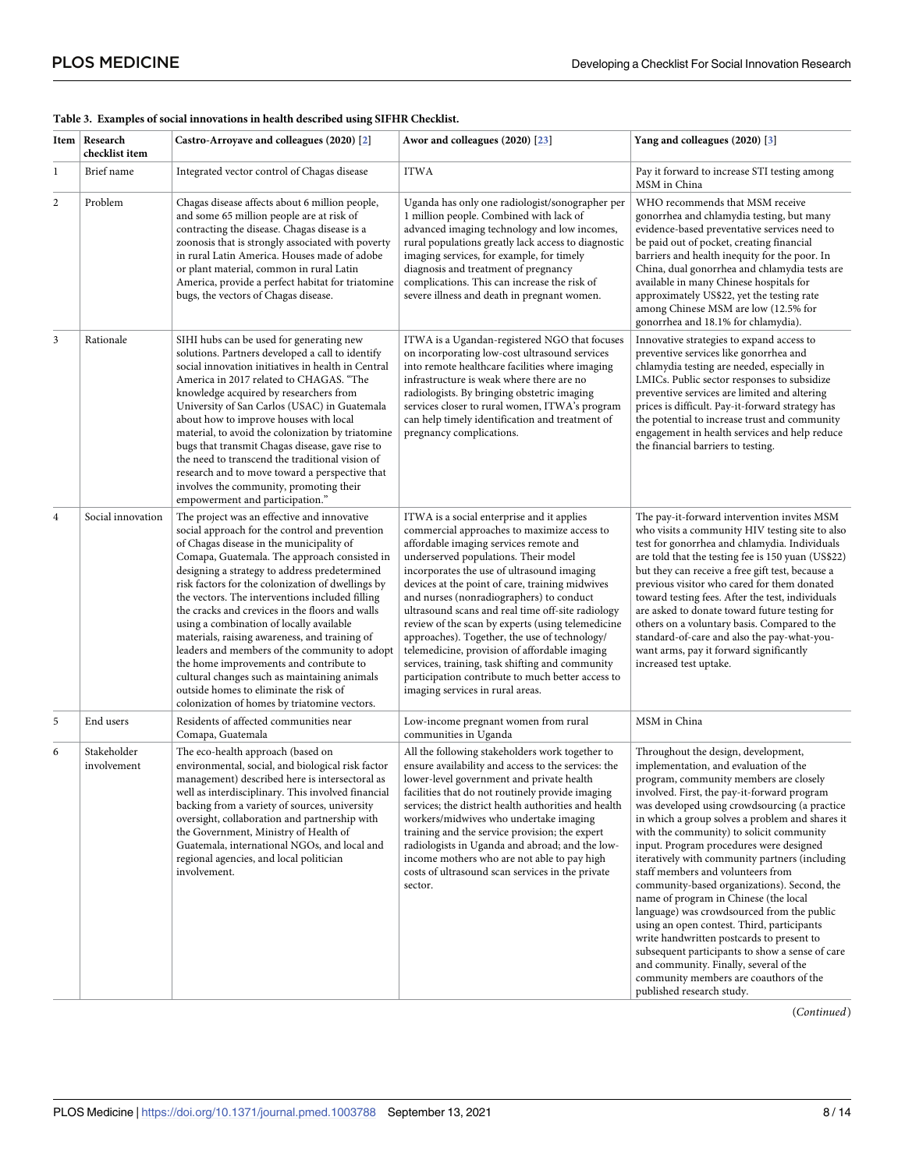|                | Item   Research<br>checklist item | Castro-Arroyave and colleagues (2020) [2]                                                                                                                                                                                                                                                                                                                                                                                                                                                                                                                                                                                                                                                                                                | Awor and colleagues (2020) [23]                                                                                                                                                                                                                                                                                                                                                                                                                                                                                                                                                                                                                                                  | Yang and colleagues (2020) [3]                                                                                                                                                                                                                                                                                                                                                                                                                                                                                                                                                                                                                                                                                                                                                                                                                               |
|----------------|-----------------------------------|------------------------------------------------------------------------------------------------------------------------------------------------------------------------------------------------------------------------------------------------------------------------------------------------------------------------------------------------------------------------------------------------------------------------------------------------------------------------------------------------------------------------------------------------------------------------------------------------------------------------------------------------------------------------------------------------------------------------------------------|----------------------------------------------------------------------------------------------------------------------------------------------------------------------------------------------------------------------------------------------------------------------------------------------------------------------------------------------------------------------------------------------------------------------------------------------------------------------------------------------------------------------------------------------------------------------------------------------------------------------------------------------------------------------------------|--------------------------------------------------------------------------------------------------------------------------------------------------------------------------------------------------------------------------------------------------------------------------------------------------------------------------------------------------------------------------------------------------------------------------------------------------------------------------------------------------------------------------------------------------------------------------------------------------------------------------------------------------------------------------------------------------------------------------------------------------------------------------------------------------------------------------------------------------------------|
| $\mathbf{1}$   | Brief name                        | Integrated vector control of Chagas disease                                                                                                                                                                                                                                                                                                                                                                                                                                                                                                                                                                                                                                                                                              | <b>ITWA</b>                                                                                                                                                                                                                                                                                                                                                                                                                                                                                                                                                                                                                                                                      | Pay it forward to increase STI testing among<br>MSM in China                                                                                                                                                                                                                                                                                                                                                                                                                                                                                                                                                                                                                                                                                                                                                                                                 |
| $\overline{c}$ | Problem                           | Chagas disease affects about 6 million people,<br>and some 65 million people are at risk of<br>contracting the disease. Chagas disease is a<br>zoonosis that is strongly associated with poverty<br>in rural Latin America. Houses made of adobe<br>or plant material, common in rural Latin<br>America, provide a perfect habitat for triatomine<br>bugs, the vectors of Chagas disease.                                                                                                                                                                                                                                                                                                                                                | Uganda has only one radiologist/sonographer per<br>1 million people. Combined with lack of<br>advanced imaging technology and low incomes,<br>rural populations greatly lack access to diagnostic<br>imaging services, for example, for timely<br>diagnosis and treatment of pregnancy<br>complications. This can increase the risk of<br>severe illness and death in pregnant women.                                                                                                                                                                                                                                                                                            | WHO recommends that MSM receive<br>gonorrhea and chlamydia testing, but many<br>evidence-based preventative services need to<br>be paid out of pocket, creating financial<br>barriers and health inequity for the poor. In<br>China, dual gonorrhea and chlamydia tests are<br>available in many Chinese hospitals for<br>approximately US\$22, yet the testing rate<br>among Chinese MSM are low (12.5% for<br>gonorrhea and 18.1% for chlamydia).                                                                                                                                                                                                                                                                                                                                                                                                          |
| $\mathfrak{Z}$ | Rationale                         | SIHI hubs can be used for generating new<br>solutions. Partners developed a call to identify<br>social innovation initiatives in health in Central<br>America in 2017 related to CHAGAS. "The<br>knowledge acquired by researchers from<br>University of San Carlos (USAC) in Guatemala<br>about how to improve houses with local<br>material, to avoid the colonization by triatomine<br>bugs that transmit Chagas disease, gave rise to<br>the need to transcend the traditional vision of<br>research and to move toward a perspective that<br>involves the community, promoting their<br>empowerment and participation."                                                                                                             | ITWA is a Ugandan-registered NGO that focuses<br>on incorporating low-cost ultrasound services<br>into remote healthcare facilities where imaging<br>infrastructure is weak where there are no<br>radiologists. By bringing obstetric imaging<br>services closer to rural women, ITWA's program<br>can help timely identification and treatment of<br>pregnancy complications.                                                                                                                                                                                                                                                                                                   | Innovative strategies to expand access to<br>preventive services like gonorrhea and<br>chlamydia testing are needed, especially in<br>LMICs. Public sector responses to subsidize<br>preventive services are limited and altering<br>prices is difficult. Pay-it-forward strategy has<br>the potential to increase trust and community<br>engagement in health services and help reduce<br>the financial barriers to testing.                                                                                                                                                                                                                                                                                                                                                                                                                                |
| $\overline{4}$ | Social innovation                 | The project was an effective and innovative<br>social approach for the control and prevention<br>of Chagas disease in the municipality of<br>Comapa, Guatemala. The approach consisted in<br>designing a strategy to address predetermined<br>risk factors for the colonization of dwellings by<br>the vectors. The interventions included filling<br>the cracks and crevices in the floors and walls<br>using a combination of locally available<br>materials, raising awareness, and training of<br>leaders and members of the community to adopt<br>the home improvements and contribute to<br>cultural changes such as maintaining animals<br>outside homes to eliminate the risk of<br>colonization of homes by triatomine vectors. | ITWA is a social enterprise and it applies<br>commercial approaches to maximize access to<br>affordable imaging services remote and<br>underserved populations. Their model<br>incorporates the use of ultrasound imaging<br>devices at the point of care, training midwives<br>and nurses (nonradiographers) to conduct<br>ultrasound scans and real time off-site radiology<br>review of the scan by experts (using telemedicine<br>approaches). Together, the use of technology/<br>telemedicine, provision of affordable imaging<br>services, training, task shifting and community<br>participation contribute to much better access to<br>imaging services in rural areas. | The pay-it-forward intervention invites MSM<br>who visits a community HIV testing site to also<br>test for gonorrhea and chlamydia. Individuals<br>are told that the testing fee is 150 yuan (US\$22)<br>but they can receive a free gift test, because a<br>previous visitor who cared for them donated<br>toward testing fees. After the test, individuals<br>are asked to donate toward future testing for<br>others on a voluntary basis. Compared to the<br>standard-of-care and also the pay-what-you-<br>want arms, pay it forward significantly<br>increased test uptake.                                                                                                                                                                                                                                                                            |
| 5              | End users                         | Residents of affected communities near<br>Comapa, Guatemala                                                                                                                                                                                                                                                                                                                                                                                                                                                                                                                                                                                                                                                                              | Low-income pregnant women from rural<br>communities in Uganda                                                                                                                                                                                                                                                                                                                                                                                                                                                                                                                                                                                                                    | MSM in China                                                                                                                                                                                                                                                                                                                                                                                                                                                                                                                                                                                                                                                                                                                                                                                                                                                 |
| 6              | Stakeholder<br>involvement        | The eco-health approach (based on<br>environmental, social, and biological risk factor<br>management) described here is intersectoral as<br>well as interdisciplinary. This involved financial<br>backing from a variety of sources, university<br>oversight, collaboration and partnership with<br>the Government, Ministry of Health of<br>Guatemala, international NGOs, and local and<br>regional agencies, and local politician<br>involvement.                                                                                                                                                                                                                                                                                     | All the following stakeholders work together to<br>ensure availability and access to the services: the<br>lower-level government and private health<br>facilities that do not routinely provide imaging<br>services; the district health authorities and health<br>workers/midwives who undertake imaging<br>training and the service provision; the expert<br>radiologists in Uganda and abroad; and the low-<br>income mothers who are not able to pay high<br>costs of ultrasound scan services in the private<br>sector.                                                                                                                                                     | Throughout the design, development,<br>implementation, and evaluation of the<br>program, community members are closely<br>involved. First, the pay-it-forward program<br>was developed using crowdsourcing (a practice<br>in which a group solves a problem and shares it<br>with the community) to solicit community<br>input. Program procedures were designed<br>iteratively with community partners (including<br>staff members and volunteers from<br>community-based organizations). Second, the<br>name of program in Chinese (the local<br>language) was crowdsourced from the public<br>using an open contest. Third, participants<br>write handwritten postcards to present to<br>subsequent participants to show a sense of care<br>and community. Finally, several of the<br>community members are coauthors of the<br>published research study. |

#### <span id="page-7-0"></span>**[Table](#page-6-0) 3. Examples of social innovations in health described using SIFHR Checklist.**

(*Continued*)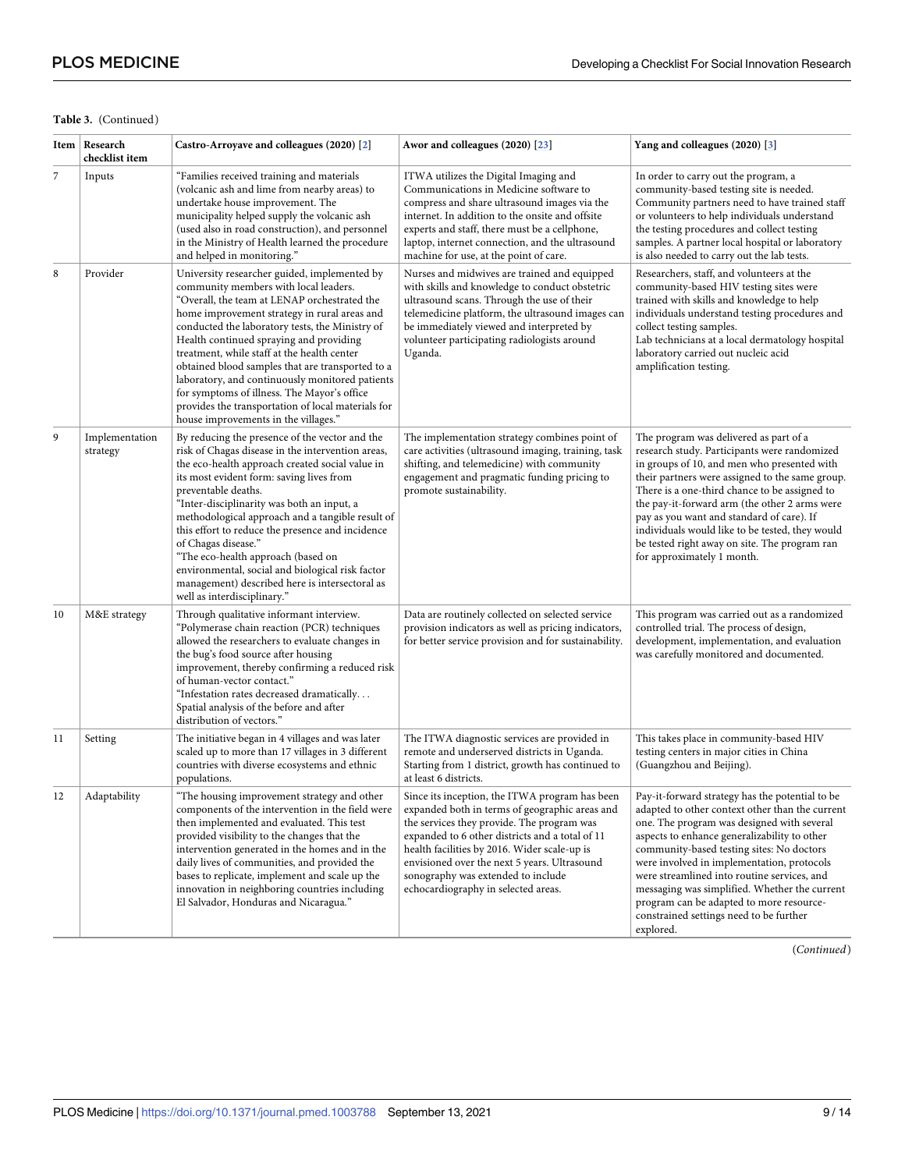#### **Table 3.** (Continued)

|    | Item Research<br>checklist item | Castro-Arroyave and colleagues (2020) [2]                                                                                                                                                                                                                                                                                                                                                                                                                                                                                                                                              | Awor and colleagues (2020) [23]                                                                                                                                                                                                                                                                                                                                                | Yang and colleagues (2020) [3]                                                                                                                                                                                                                                                                                                                                                                                                                                                                  |
|----|---------------------------------|----------------------------------------------------------------------------------------------------------------------------------------------------------------------------------------------------------------------------------------------------------------------------------------------------------------------------------------------------------------------------------------------------------------------------------------------------------------------------------------------------------------------------------------------------------------------------------------|--------------------------------------------------------------------------------------------------------------------------------------------------------------------------------------------------------------------------------------------------------------------------------------------------------------------------------------------------------------------------------|-------------------------------------------------------------------------------------------------------------------------------------------------------------------------------------------------------------------------------------------------------------------------------------------------------------------------------------------------------------------------------------------------------------------------------------------------------------------------------------------------|
| 7  | Inputs                          | "Families received training and materials<br>(volcanic ash and lime from nearby areas) to<br>undertake house improvement. The<br>municipality helped supply the volcanic ash<br>(used also in road construction), and personnel<br>in the Ministry of Health learned the procedure<br>and helped in monitoring."                                                                                                                                                                                                                                                                       | ITWA utilizes the Digital Imaging and<br>Communications in Medicine software to<br>compress and share ultrasound images via the<br>internet. In addition to the onsite and offsite<br>experts and staff, there must be a cellphone,<br>laptop, internet connection, and the ultrasound<br>machine for use, at the point of care.                                               | In order to carry out the program, a<br>community-based testing site is needed.<br>Community partners need to have trained staff<br>or volunteers to help individuals understand<br>the testing procedures and collect testing<br>samples. A partner local hospital or laboratory<br>is also needed to carry out the lab tests.                                                                                                                                                                 |
| 8  | Provider                        | University researcher guided, implemented by<br>community members with local leaders.<br>"Overall, the team at LENAP orchestrated the<br>home improvement strategy in rural areas and<br>conducted the laboratory tests, the Ministry of<br>Health continued spraying and providing<br>treatment, while staff at the health center<br>obtained blood samples that are transported to a<br>laboratory, and continuously monitored patients<br>for symptoms of illness. The Mayor's office<br>provides the transportation of local materials for<br>house improvements in the villages." | Nurses and midwives are trained and equipped<br>with skills and knowledge to conduct obstetric<br>ultrasound scans. Through the use of their<br>telemedicine platform, the ultrasound images can<br>be immediately viewed and interpreted by<br>volunteer participating radiologists around<br>Uganda.                                                                         | Researchers, staff, and volunteers at the<br>community-based HIV testing sites were<br>trained with skills and knowledge to help<br>individuals understand testing procedures and<br>collect testing samples.<br>Lab technicians at a local dermatology hospital<br>laboratory carried out nucleic acid<br>amplification testing.                                                                                                                                                               |
| 9  | Implementation<br>strategy      | By reducing the presence of the vector and the<br>risk of Chagas disease in the intervention areas,<br>the eco-health approach created social value in<br>its most evident form: saving lives from<br>preventable deaths.<br>"Inter-disciplinarity was both an input, a<br>methodological approach and a tangible result of<br>this effort to reduce the presence and incidence<br>of Chagas disease."<br>"The eco-health approach (based on<br>environmental, social and biological risk factor<br>management) described here is intersectoral as<br>well as interdisciplinary."      | The implementation strategy combines point of<br>care activities (ultrasound imaging, training, task<br>shifting, and telemedicine) with community<br>engagement and pragmatic funding pricing to<br>promote sustainability.                                                                                                                                                   | The program was delivered as part of a<br>research study. Participants were randomized<br>in groups of 10, and men who presented with<br>their partners were assigned to the same group.<br>There is a one-third chance to be assigned to<br>the pay-it-forward arm (the other 2 arms were<br>pay as you want and standard of care). If<br>individuals would like to be tested, they would<br>be tested right away on site. The program ran<br>for approximately 1 month.                       |
| 10 | M&E strategy                    | Through qualitative informant interview.<br>"Polymerase chain reaction (PCR) techniques<br>allowed the researchers to evaluate changes in<br>the bug's food source after housing<br>improvement, thereby confirming a reduced risk<br>of human-vector contact."<br>"Infestation rates decreased dramatically<br>Spatial analysis of the before and after<br>distribution of vectors."                                                                                                                                                                                                  | Data are routinely collected on selected service<br>provision indicators as well as pricing indicators,<br>for better service provision and for sustainability.                                                                                                                                                                                                                | This program was carried out as a randomized<br>controlled trial. The process of design,<br>development, implementation, and evaluation<br>was carefully monitored and documented.                                                                                                                                                                                                                                                                                                              |
| 11 | Setting                         | The initiative began in 4 villages and was later<br>scaled up to more than 17 villages in 3 different<br>countries with diverse ecosystems and ethnic<br>populations.                                                                                                                                                                                                                                                                                                                                                                                                                  | The ITWA diagnostic services are provided in<br>remote and underserved districts in Uganda.<br>Starting from 1 district, growth has continued to<br>at least 6 districts.                                                                                                                                                                                                      | This takes place in community-based HIV<br>testing centers in major cities in China<br>(Guangzhou and Beijing).                                                                                                                                                                                                                                                                                                                                                                                 |
|    | Adaptability                    | "The housing improvement strategy and other<br>components of the intervention in the field were<br>then implemented and evaluated. This test<br>provided visibility to the changes that the<br>intervention generated in the homes and in the<br>daily lives of communities, and provided the<br>bases to replicate, implement and scale up the<br>innovation in neighboring countries including<br>El Salvador, Honduras and Nicaragua."                                                                                                                                              | Since its inception, the ITWA program has been<br>expanded both in terms of geographic areas and<br>the services they provide. The program was<br>expanded to 6 other districts and a total of 11<br>health facilities by 2016. Wider scale-up is<br>envisioned over the next 5 years. Ultrasound<br>sonography was extended to include<br>echocardiography in selected areas. | Pay-it-forward strategy has the potential to be<br>adapted to other context other than the current<br>one. The program was designed with several<br>aspects to enhance generalizability to other<br>community-based testing sites: No doctors<br>were involved in implementation, protocols<br>were streamlined into routine services, and<br>messaging was simplified. Whether the current<br>program can be adapted to more resource-<br>constrained settings need to be further<br>explored. |

(*Continued*)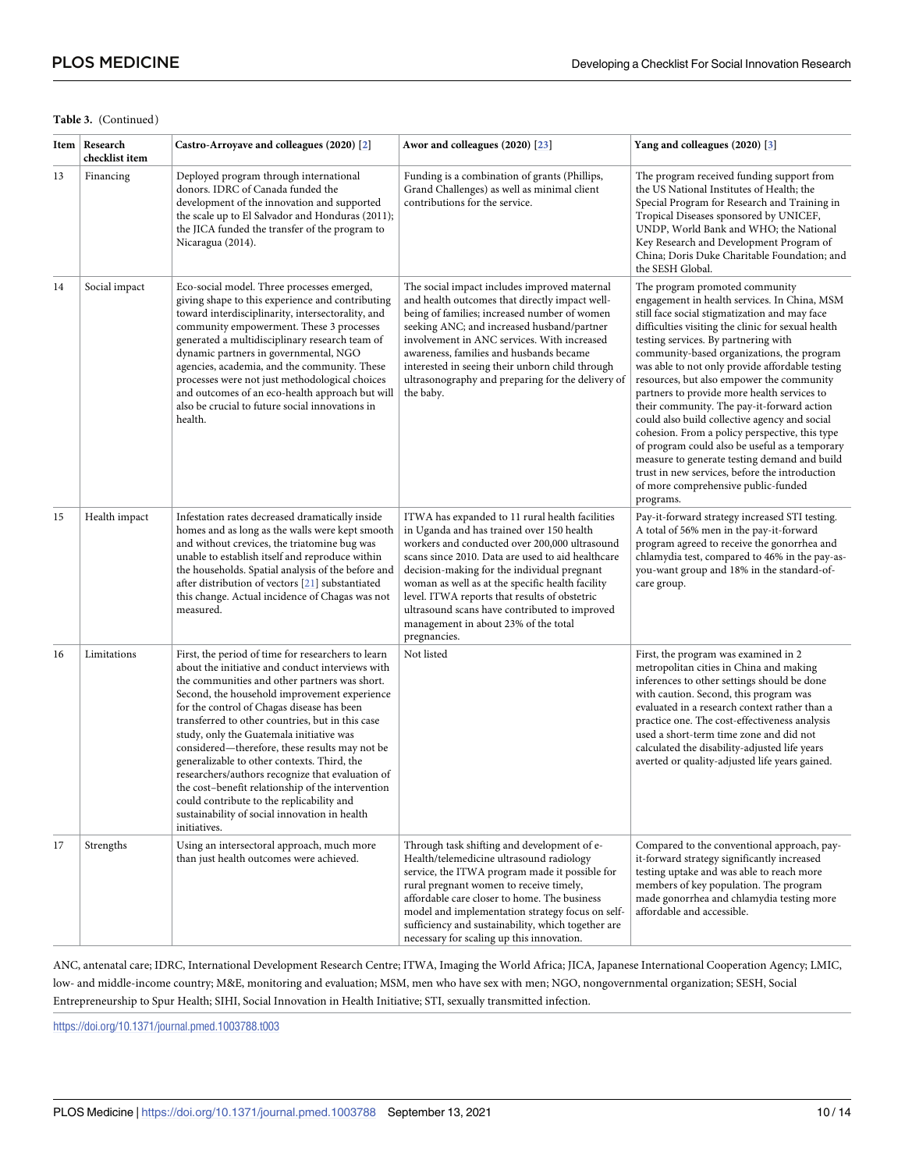#### **Table 3.** (Continued)

|    | Item   Research<br>checklist item | Castro-Arroyave and colleagues (2020) [2]                                                                                                                                                                                                                                                                                                                                                                                                                                                                                                                                                                                                                                     | Awor and colleagues (2020) [23]                                                                                                                                                                                                                                                                                                                                                                                                                                 | Yang and colleagues (2020) [3]                                                                                                                                                                                                                                                                                                                                                                                                                                                                                                                                                                                                                                                                                                                                                      |
|----|-----------------------------------|-------------------------------------------------------------------------------------------------------------------------------------------------------------------------------------------------------------------------------------------------------------------------------------------------------------------------------------------------------------------------------------------------------------------------------------------------------------------------------------------------------------------------------------------------------------------------------------------------------------------------------------------------------------------------------|-----------------------------------------------------------------------------------------------------------------------------------------------------------------------------------------------------------------------------------------------------------------------------------------------------------------------------------------------------------------------------------------------------------------------------------------------------------------|-------------------------------------------------------------------------------------------------------------------------------------------------------------------------------------------------------------------------------------------------------------------------------------------------------------------------------------------------------------------------------------------------------------------------------------------------------------------------------------------------------------------------------------------------------------------------------------------------------------------------------------------------------------------------------------------------------------------------------------------------------------------------------------|
| 13 | Financing                         | Deployed program through international<br>donors. IDRC of Canada funded the<br>development of the innovation and supported<br>the scale up to El Salvador and Honduras (2011);<br>the JICA funded the transfer of the program to<br>Nicaragua (2014).                                                                                                                                                                                                                                                                                                                                                                                                                         | Funding is a combination of grants (Phillips,<br>Grand Challenges) as well as minimal client<br>contributions for the service.                                                                                                                                                                                                                                                                                                                                  | The program received funding support from<br>the US National Institutes of Health; the<br>Special Program for Research and Training in<br>Tropical Diseases sponsored by UNICEF,<br>UNDP, World Bank and WHO; the National<br>Key Research and Development Program of<br>China; Doris Duke Charitable Foundation; and<br>the SESH Global.                                                                                                                                                                                                                                                                                                                                                                                                                                           |
| 14 | Social impact                     | Eco-social model. Three processes emerged,<br>giving shape to this experience and contributing<br>toward interdisciplinarity, intersectorality, and<br>community empowerment. These 3 processes<br>generated a multidisciplinary research team of<br>dynamic partners in governmental, NGO<br>agencies, academia, and the community. These<br>processes were not just methodological choices<br>and outcomes of an eco-health approach but will<br>also be crucial to future social innovations in<br>health.                                                                                                                                                                 | The social impact includes improved maternal<br>and health outcomes that directly impact well-<br>being of families; increased number of women<br>seeking ANC; and increased husband/partner<br>involvement in ANC services. With increased<br>awareness, families and husbands became<br>interested in seeing their unborn child through<br>ultrasonography and preparing for the delivery of<br>the baby.                                                     | The program promoted community<br>engagement in health services. In China, MSM<br>still face social stigmatization and may face<br>difficulties visiting the clinic for sexual health<br>testing services. By partnering with<br>community-based organizations, the program<br>was able to not only provide affordable testing<br>resources, but also empower the community<br>partners to provide more health services to<br>their community. The pay-it-forward action<br>could also build collective agency and social<br>cohesion. From a policy perspective, this type<br>of program could also be useful as a temporary<br>measure to generate testing demand and build<br>trust in new services, before the introduction<br>of more comprehensive public-funded<br>programs. |
| 15 | Health impact                     | Infestation rates decreased dramatically inside<br>homes and as long as the walls were kept smooth<br>and without crevices, the triatomine bug was<br>unable to establish itself and reproduce within<br>the households. Spatial analysis of the before and<br>after distribution of vectors $[\underline{21}]$ substantiated<br>this change. Actual incidence of Chagas was not<br>measured.                                                                                                                                                                                                                                                                                 | ITWA has expanded to 11 rural health facilities<br>in Uganda and has trained over 150 health<br>workers and conducted over 200,000 ultrasound<br>scans since 2010. Data are used to aid healthcare<br>decision-making for the individual pregnant<br>woman as well as at the specific health facility<br>level. ITWA reports that results of obstetric<br>ultrasound scans have contributed to improved<br>management in about 23% of the total<br>pregnancies. | Pay-it-forward strategy increased STI testing.<br>A total of 56% men in the pay-it-forward<br>program agreed to receive the gonorrhea and<br>chlamydia test, compared to 46% in the pay-as-<br>you-want group and 18% in the standard-of-<br>care group.                                                                                                                                                                                                                                                                                                                                                                                                                                                                                                                            |
| 16 | Limitations                       | First, the period of time for researchers to learn<br>about the initiative and conduct interviews with<br>the communities and other partners was short.<br>Second, the household improvement experience<br>for the control of Chagas disease has been<br>transferred to other countries, but in this case<br>study, only the Guatemala initiative was<br>considered—therefore, these results may not be<br>generalizable to other contexts. Third, the<br>researchers/authors recognize that evaluation of<br>the cost-benefit relationship of the intervention<br>could contribute to the replicability and<br>sustainability of social innovation in health<br>initiatives. | Not listed                                                                                                                                                                                                                                                                                                                                                                                                                                                      | First, the program was examined in 2<br>metropolitan cities in China and making<br>inferences to other settings should be done<br>with caution. Second, this program was<br>evaluated in a research context rather than a<br>practice one. The cost-effectiveness analysis<br>used a short-term time zone and did not<br>calculated the disability-adjusted life years<br>averted or quality-adjusted life years gained.                                                                                                                                                                                                                                                                                                                                                            |
| 17 | Strengths                         | Using an intersectoral approach, much more<br>than just health outcomes were achieved.                                                                                                                                                                                                                                                                                                                                                                                                                                                                                                                                                                                        | Through task shifting and development of e-<br>Health/telemedicine ultrasound radiology<br>service, the ITWA program made it possible for<br>rural pregnant women to receive timely,<br>affordable care closer to home. The business<br>model and implementation strategy focus on self-<br>sufficiency and sustainability, which together are<br>necessary for scaling up this innovation.                                                                     | Compared to the conventional approach, pay-<br>it-forward strategy significantly increased<br>testing uptake and was able to reach more<br>members of key population. The program<br>made gonorrhea and chlamydia testing more<br>affordable and accessible.                                                                                                                                                                                                                                                                                                                                                                                                                                                                                                                        |

ANC, antenatal care; IDRC, International Development Research Centre; ITWA, Imaging the World Africa; JICA, Japanese International Cooperation Agency; LMIC, low- and middle-income country; M&E, monitoring and evaluation; MSM, men who have sex with men; NGO, nongovernmental organization; SESH, Social Entrepreneurship to Spur Health; SIHI, Social Innovation in Health Initiative; STI, sexually transmitted infection.

<https://doi.org/10.1371/journal.pmed.1003788.t003>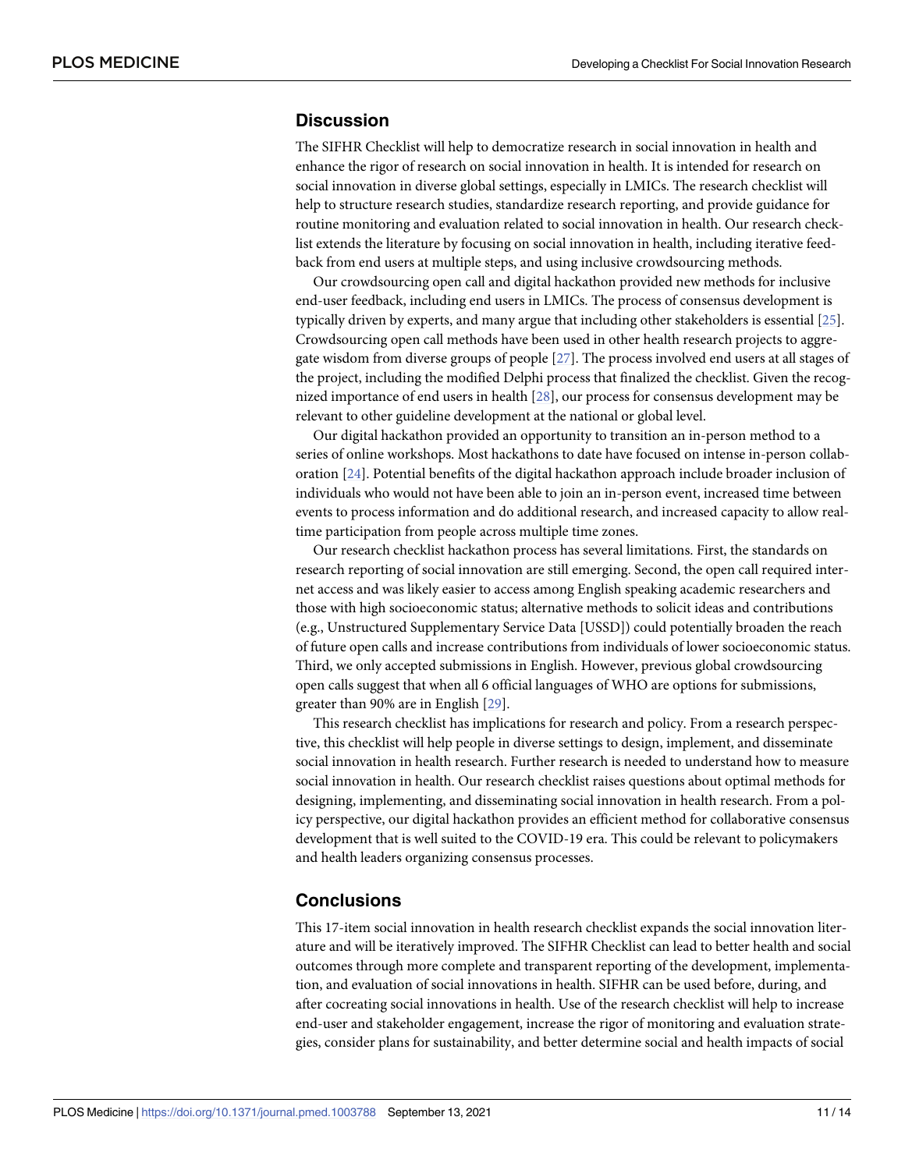# <span id="page-10-0"></span>**Discussion**

The SIFHR Checklist will help to democratize research in social innovation in health and enhance the rigor of research on social innovation in health. It is intended for research on social innovation in diverse global settings, especially in LMICs. The research checklist will help to structure research studies, standardize research reporting, and provide guidance for routine monitoring and evaluation related to social innovation in health. Our research checklist extends the literature by focusing on social innovation in health, including iterative feedback from end users at multiple steps, and using inclusive crowdsourcing methods.

Our crowdsourcing open call and digital hackathon provided new methods for inclusive end-user feedback, including end users in LMICs. The process of consensus development is typically driven by experts, and many argue that including other stakeholders is essential [\[25\]](#page-12-0). Crowdsourcing open call methods have been used in other health research projects to aggregate wisdom from diverse groups of people [[27](#page-12-0)]. The process involved end users at all stages of the project, including the modified Delphi process that finalized the checklist. Given the recognized importance of end users in health [[28](#page-13-0)], our process for consensus development may be relevant to other guideline development at the national or global level.

Our digital hackathon provided an opportunity to transition an in-person method to a series of online workshops. Most hackathons to date have focused on intense in-person collaboration [[24](#page-12-0)]. Potential benefits of the digital hackathon approach include broader inclusion of individuals who would not have been able to join an in-person event, increased time between events to process information and do additional research, and increased capacity to allow realtime participation from people across multiple time zones.

Our research checklist hackathon process has several limitations. First, the standards on research reporting of social innovation are still emerging. Second, the open call required internet access and was likely easier to access among English speaking academic researchers and those with high socioeconomic status; alternative methods to solicit ideas and contributions (e.g., Unstructured Supplementary Service Data [USSD]) could potentially broaden the reach of future open calls and increase contributions from individuals of lower socioeconomic status. Third, we only accepted submissions in English. However, previous global crowdsourcing open calls suggest that when all 6 official languages of WHO are options for submissions, greater than 90% are in English [[29](#page-13-0)].

This research checklist has implications for research and policy. From a research perspective, this checklist will help people in diverse settings to design, implement, and disseminate social innovation in health research. Further research is needed to understand how to measure social innovation in health. Our research checklist raises questions about optimal methods for designing, implementing, and disseminating social innovation in health research. From a policy perspective, our digital hackathon provides an efficient method for collaborative consensus development that is well suited to the COVID-19 era. This could be relevant to policymakers and health leaders organizing consensus processes.

# **Conclusions**

This 17-item social innovation in health research checklist expands the social innovation literature and will be iteratively improved. The SIFHR Checklist can lead to better health and social outcomes through more complete and transparent reporting of the development, implementation, and evaluation of social innovations in health. SIFHR can be used before, during, and after cocreating social innovations in health. Use of the research checklist will help to increase end-user and stakeholder engagement, increase the rigor of monitoring and evaluation strategies, consider plans for sustainability, and better determine social and health impacts of social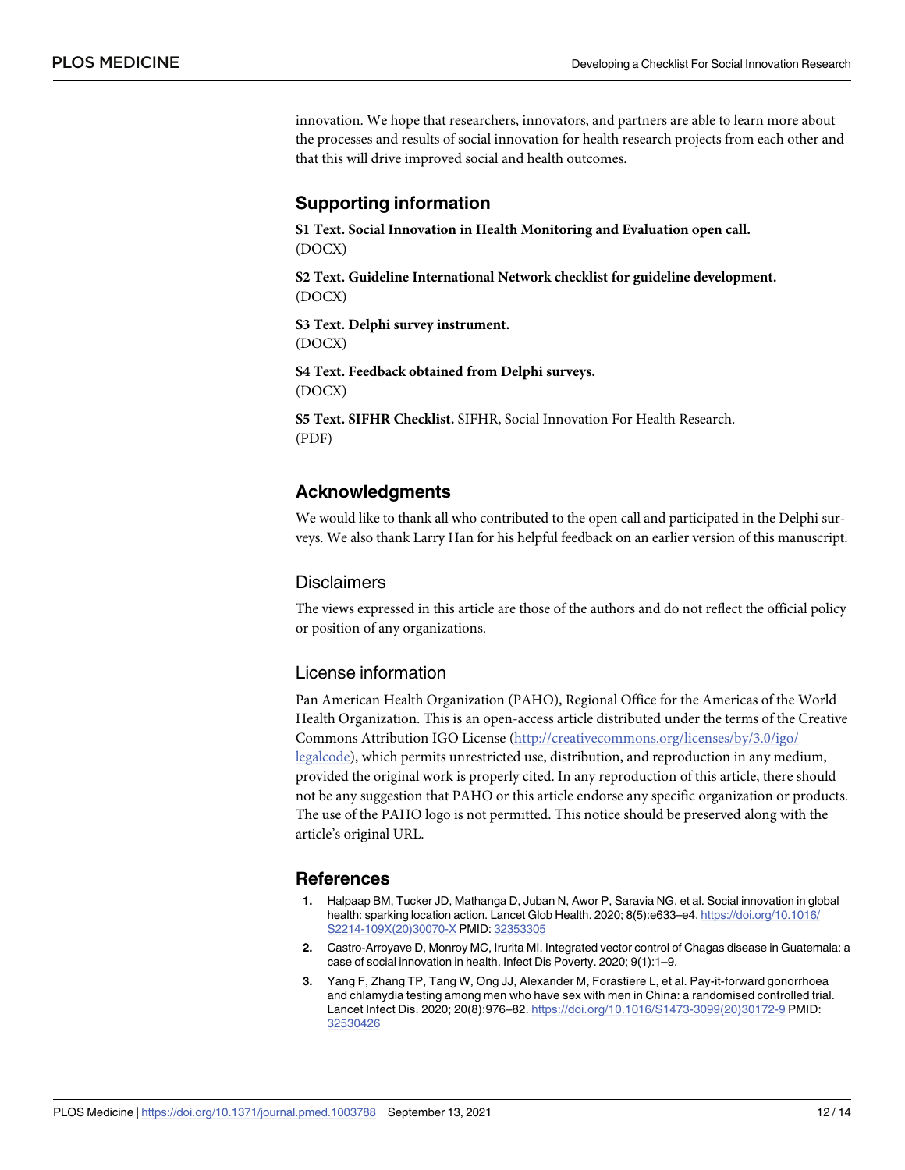<span id="page-11-0"></span>innovation. We hope that researchers, innovators, and partners are able to learn more about the processes and results of social innovation for health research projects from each other and that this will drive improved social and health outcomes.

# **Supporting information**

**S1 [Text](http://journals.plos.org/plosmedicine/article/asset?unique&id=info:doi/10.1371/journal.pmed.1003788.s001). Social Innovation in Health Monitoring and Evaluation open call.** (DOCX)

**S2 [Text](http://journals.plos.org/plosmedicine/article/asset?unique&id=info:doi/10.1371/journal.pmed.1003788.s002). Guideline International Network checklist for guideline development.** (DOCX)

**S3 [Text](http://journals.plos.org/plosmedicine/article/asset?unique&id=info:doi/10.1371/journal.pmed.1003788.s003). Delphi survey instrument.** (DOCX)

**S4 [Text](http://journals.plos.org/plosmedicine/article/asset?unique&id=info:doi/10.1371/journal.pmed.1003788.s004). Feedback obtained from Delphi surveys.** (DOCX)

**S5 [Text](http://journals.plos.org/plosmedicine/article/asset?unique&id=info:doi/10.1371/journal.pmed.1003788.s005). SIFHR Checklist.** SIFHR, Social Innovation For Health Research. (PDF)

#### **Acknowledgments**

We would like to thank all who contributed to the open call and participated in the Delphi surveys. We also thank Larry Han for his helpful feedback on an earlier version of this manuscript.

#### **Disclaimers**

The views expressed in this article are those of the authors and do not reflect the official policy or position of any organizations.

#### License information

Pan American Health Organization (PAHO), Regional Office for the Americas of the World Health Organization. This is an open-access article distributed under the terms of the Creative Commons Attribution IGO License [\(http://creativecommons.org/licenses/by/3.0/igo/](http://creativecommons.org/licenses/by/3.0/igo/legalcode) [legalcode\)](http://creativecommons.org/licenses/by/3.0/igo/legalcode), which permits unrestricted use, distribution, and reproduction in any medium, provided the original work is properly cited. In any reproduction of this article, there should not be any suggestion that PAHO or this article endorse any specific organization or products. The use of the PAHO logo is not permitted. This notice should be preserved along with the article's original URL.

#### **References**

- **[1](#page-1-0).** Halpaap BM, Tucker JD, Mathanga D, Juban N, Awor P, Saravia NG, et al. Social innovation in global health: sparking location action. Lancet Glob Health. 2020; 8(5):e633–e4. [https://doi.org/10.1016/](https://doi.org/10.1016/S2214-109X%2820%2930070-X) [S2214-109X\(20\)30070-X](https://doi.org/10.1016/S2214-109X%2820%2930070-X) PMID: [32353305](http://www.ncbi.nlm.nih.gov/pubmed/32353305)
- **[2](#page-1-0).** Castro-Arroyave D, Monroy MC, Irurita MI. Integrated vector control of Chagas disease in Guatemala: a case of social innovation in health. Infect Dis Poverty. 2020; 9(1):1–9.
- **[3](#page-1-0).** Yang F, Zhang TP, Tang W, Ong JJ, Alexander M, Forastiere L, et al. Pay-it-forward gonorrhoea and chlamydia testing among men who have sex with men in China: a randomised controlled trial. Lancet Infect Dis. 2020; 20(8):976–82. [https://doi.org/10.1016/S1473-3099\(20\)30172-9](https://doi.org/10.1016/S1473-3099%2820%2930172-9) PMID: [32530426](http://www.ncbi.nlm.nih.gov/pubmed/32530426)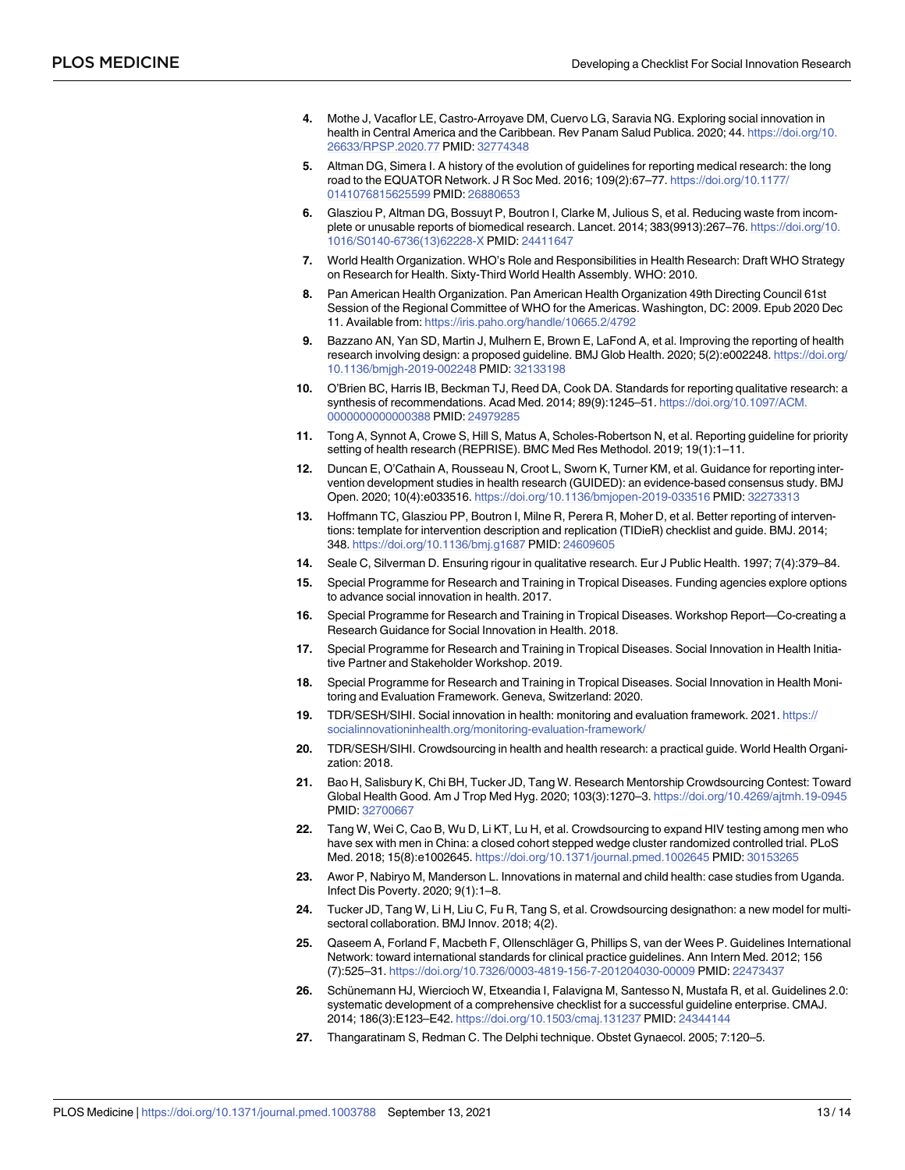- <span id="page-12-0"></span>**[4](#page-1-0).** Mothe J, Vacaflor LE, Castro-Arroyave DM, Cuervo LG, Saravia NG. Exploring social innovation in health in Central America and the Caribbean. Rev Panam Salud Publica. 2020; 44. [https://doi.org/10.](https://doi.org/10.26633/RPSP.2020.77) [26633/RPSP.2020.77](https://doi.org/10.26633/RPSP.2020.77) PMID: [32774348](http://www.ncbi.nlm.nih.gov/pubmed/32774348)
- **[5](#page-1-0).** Altman DG, Simera I. A history of the evolution of guidelines for reporting medical research: the long road to the EQUATOR Network. J R Soc Med. 2016; 109(2):67–77. [https://doi.org/10.1177/](https://doi.org/10.1177/0141076815625599) [0141076815625599](https://doi.org/10.1177/0141076815625599) PMID: [26880653](http://www.ncbi.nlm.nih.gov/pubmed/26880653)
- **6.** Glasziou P, Altman DG, Bossuyt P, Boutron I, Clarke M, Julious S, et al. Reducing waste from incomplete or unusable reports of biomedical research. Lancet. 2014; 383(9913):267–76. [https://doi.org/10.](https://doi.org/10.1016/S0140-6736%2813%2962228-X) [1016/S0140-6736\(13\)62228-X](https://doi.org/10.1016/S0140-6736%2813%2962228-X) PMID: [24411647](http://www.ncbi.nlm.nih.gov/pubmed/24411647)
- **7.** World Health Organization. WHO's Role and Responsibilities in Health Research: Draft WHO Strategy on Research for Health. Sixty-Third World Health Assembly. WHO: 2010.
- **[8](#page-1-0).** Pan American Health Organization. Pan American Health Organization 49th Directing Council 61st Session of the Regional Committee of WHO for the Americas. Washington, DC: 2009. Epub 2020 Dec 11. Available from: <https://iris.paho.org/handle/10665.2/4792>
- **[9](#page-1-0).** Bazzano AN, Yan SD, Martin J, Mulhern E, Brown E, LaFond A, et al. Improving the reporting of health research involving design: a proposed guideline. BMJ Glob Health. 2020; 5(2):e002248. [https://doi.org/](https://doi.org/10.1136/bmjgh-2019-002248) [10.1136/bmjgh-2019-002248](https://doi.org/10.1136/bmjgh-2019-002248) PMID: [32133198](http://www.ncbi.nlm.nih.gov/pubmed/32133198)
- **[10](#page-1-0).** O'Brien BC, Harris IB, Beckman TJ, Reed DA, Cook DA. Standards for reporting qualitative research: a synthesis of recommendations. Acad Med. 2014; 89(9):1245–51. [https://doi.org/10.1097/ACM.](https://doi.org/10.1097/ACM.0000000000000388) [0000000000000388](https://doi.org/10.1097/ACM.0000000000000388) PMID: [24979285](http://www.ncbi.nlm.nih.gov/pubmed/24979285)
- **[11](#page-1-0).** Tong A, Synnot A, Crowe S, Hill S, Matus A, Scholes-Robertson N, et al. Reporting guideline for priority setting of health research (REPRISE). BMC Med Res Methodol. 2019; 19(1):1–11.
- **[12](#page-1-0).** Duncan E, O'Cathain A, Rousseau N, Croot L, Sworn K, Turner KM, et al. Guidance for reporting intervention development studies in health research (GUIDED): an evidence-based consensus study. BMJ Open. 2020; 10(4):e033516. <https://doi.org/10.1136/bmjopen-2019-033516> PMID: [32273313](http://www.ncbi.nlm.nih.gov/pubmed/32273313)
- **[13](#page-1-0).** Hoffmann TC, Glasziou PP, Boutron I, Milne R, Perera R, Moher D, et al. Better reporting of interventions: template for intervention description and replication (TIDieR) checklist and guide. BMJ. 2014; 348. <https://doi.org/10.1136/bmj.g1687> PMID: [24609605](http://www.ncbi.nlm.nih.gov/pubmed/24609605)
- **[14](#page-1-0).** Seale C, Silverman D. Ensuring rigour in qualitative research. Eur J Public Health. 1997; 7(4):379–84.
- **[15](#page-1-0).** Special Programme for Research and Training in Tropical Diseases. Funding agencies explore options to advance social innovation in health. 2017.
- **16.** Special Programme for Research and Training in Tropical Diseases. Workshop Report—Co-creating a Research Guidance for Social Innovation in Health. 2018.
- **17.** Special Programme for Research and Training in Tropical Diseases. Social Innovation in Health Initiative Partner and Stakeholder Workshop. 2019.
- **[18](#page-1-0).** Special Programme for Research and Training in Tropical Diseases. Social Innovation in Health Monitoring and Evaluation Framework. Geneva, Switzerland: 2020.
- **[19](#page-2-0).** TDR/SESH/SIHI. Social innovation in health: monitoring and evaluation framework. 2021. [https://](https://socialinnovationinhealth.org/monitoring-evaluation-framework/) [socialinnovationinhealth.org/monitoring-evaluation-framework/](https://socialinnovationinhealth.org/monitoring-evaluation-framework/)
- **[20](#page-2-0).** TDR/SESH/SIHI. Crowdsourcing in health and health research: a practical guide. World Health Organization: 2018.
- **[21](#page-2-0).** Bao H, Salisbury K, Chi BH, Tucker JD, Tang W. Research Mentorship Crowdsourcing Contest: Toward Global Health Good. Am J Trop Med Hyg. 2020; 103(3):1270–3. <https://doi.org/10.4269/ajtmh.19-0945> PMID: [32700667](http://www.ncbi.nlm.nih.gov/pubmed/32700667)
- **[22](#page-2-0).** Tang W, Wei C, Cao B, Wu D, Li KT, Lu H, et al. Crowdsourcing to expand HIV testing among men who have sex with men in China: a closed cohort stepped wedge cluster randomized controlled trial. PLoS Med. 2018; 15(8):e1002645. <https://doi.org/10.1371/journal.pmed.1002645> PMID: [30153265](http://www.ncbi.nlm.nih.gov/pubmed/30153265)
- **[23](#page-2-0).** Awor P, Nabiryo M, Manderson L. Innovations in maternal and child health: case studies from Uganda. Infect Dis Poverty. 2020; 9(1):1–8.
- **[24](#page-3-0).** Tucker JD, Tang W, Li H, Liu C, Fu R, Tang S, et al. Crowdsourcing designathon: a new model for multisectoral collaboration. BMJ Innov. 2018; 4(2).
- [25](#page-4-0). Qaseem A, Forland F, Macbeth F, Ollenschläger G, Phillips S, van der Wees P. Guidelines International Network: toward international standards for clinical practice guidelines. Ann Intern Med. 2012; 156 (7):525–31. <https://doi.org/10.7326/0003-4819-156-7-201204030-00009> PMID: [22473437](http://www.ncbi.nlm.nih.gov/pubmed/22473437)
- **[26](#page-4-0).** Schünemann HJ, Wiercioch W, Etxeandia I, Falavigna M, Santesso N, Mustafa R, et al. Guidelines 2.0: systematic development of a comprehensive checklist for a successful guideline enterprise. CMAJ. 2014; 186(3):E123–E42. <https://doi.org/10.1503/cmaj.131237> PMID: [24344144](http://www.ncbi.nlm.nih.gov/pubmed/24344144)
- **[27](#page-10-0).** Thangaratinam S, Redman C. The Delphi technique. Obstet Gynaecol. 2005; 7:120–5.